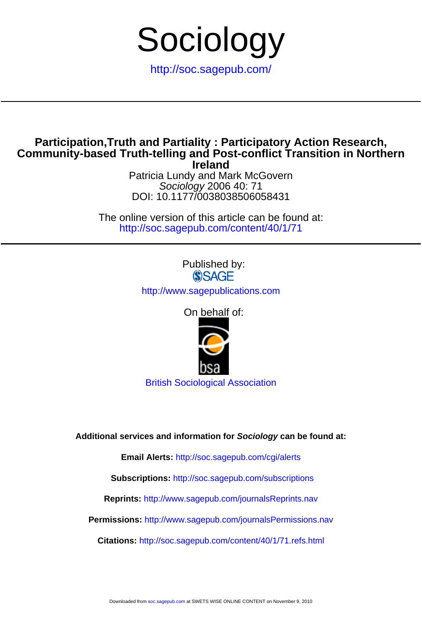

# **Ireland Community-based Truth-telling and Post-conflict Transition in Northern Participation,Truth and Partiality : Participatory Action Research,**

DOI: 10.1177/0038038506058431 Sociology 2006 40: 71 Patricia Lundy and Mark McGovern

<http://soc.sagepub.com/content/40/1/71> The online version of this article can be found at:

> Published by: **SSAGE**

<http://www.sagepublications.com>

On behalf of:



[British Sociological Association](http://www.britsoc.co.uk)

**Additional services and information for Sociology can be found at:**

**Email Alerts:** <http://soc.sagepub.com/cgi/alerts>

**Subscriptions:** <http://soc.sagepub.com/subscriptions>

**Reprints:** <http://www.sagepub.com/journalsReprints.nav>

**Permissions:** <http://www.sagepub.com/journalsPermissions.nav>

**Citations:** <http://soc.sagepub.com/content/40/1/71.refs.html>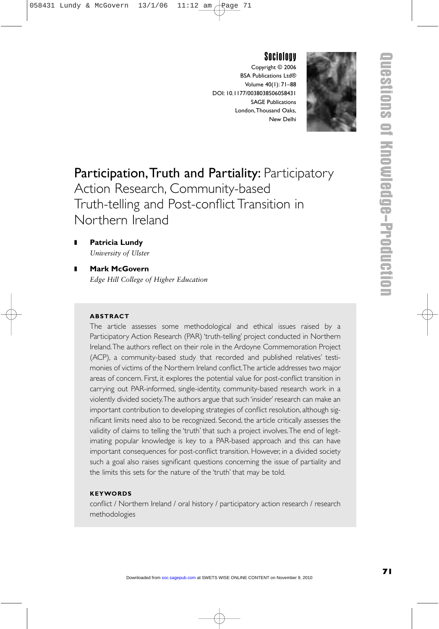# Sociology

Copyright © 2006 BSA Publications Ltd® Volume 40(1): 71–88 DOI: 10.1177/0038038506058431 SAGE Publications London,Thousand Oaks, New Delhi



# Participation, Truth and Partiality: Participatory Action Research, Community-based Truth-telling and Post-conflict Transition in Northern Ireland

■ **Patricia Lundy** *University of Ulster*

# ■ **Mark McGovern** *Edge Hill College of Higher Education*

#### **ABSTRACT**

The article assesses some methodological and ethical issues raised by a Participatory Action Research (PAR) 'truth-telling' project conducted in Northern Ireland.The authors reflect on their role in the Ardoyne Commemoration Project (ACP), a community-based study that recorded and published relatives' testimonies of victims of the Northern Ireland conflict.The article addresses two major areas of concern. First, it explores the potential value for post-conflict transition in carrying out PAR-informed, single-identity, community-based research work in a violently divided society.The authors argue that such 'insider' research can make an important contribution to developing strategies of conflict resolution, although significant limits need also to be recognized. Second, the article critically assesses the validity of claims to telling the 'truth' that such a project involves.The end of legitimating popular knowledge is key to a PAR-based approach and this can have important consequences for post-conflict transition. However, in a divided society such a goal also raises significant questions concerning the issue of partiality and the limits this sets for the nature of the 'truth' that may be told.

#### **KEYWORDS**

conflict / Northern Ireland / oral history / participatory action research / research methodologies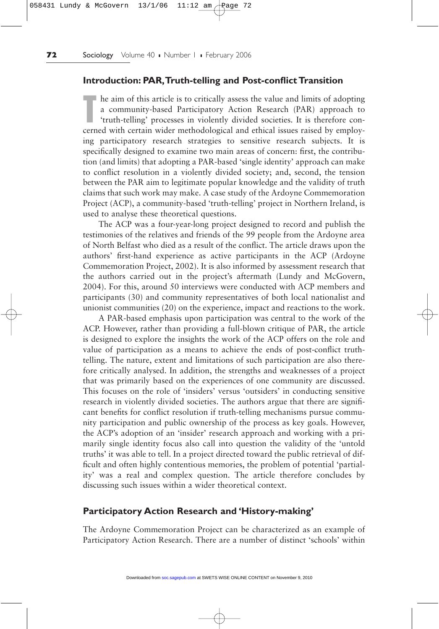#### **Introduction: PAR,Truth-telling and Post-conflict Transition**

he aim of this article is to critically assess the value and limits of adopting a community-based Participatory Action Research (PAR) approach to 'truth-telling' processes in violently divided societies. It is therefore concerned with certain wider methodological and ethical issues raised by employing participatory research strategies to sensitive research subjects. It is specifically designed to examine two main areas of concern: first, the contribution (and limits) that adopting a PAR-based 'single identity' approach can make to conflict resolution in a violently divided society; and, second, the tension between the PAR aim to legitimate popular knowledge and the validity of truth claims that such work may make. A case study of the Ardoyne Commemoration Project (ACP), a community-based 'truth-telling' project in Northern Ireland, is used to analyse these theoretical questions. **T**

The ACP was a four-year-long project designed to record and publish the testimonies of the relatives and friends of the 99 people from the Ardoyne area of North Belfast who died as a result of the conflict. The article draws upon the authors' first-hand experience as active participants in the ACP (Ardoyne Commemoration Project, 2002). It is also informed by assessment research that the authors carried out in the project's aftermath (Lundy and McGovern, 2004). For this, around 50 interviews were conducted with ACP members and participants (30) and community representatives of both local nationalist and unionist communities (20) on the experience, impact and reactions to the work.

A PAR-based emphasis upon participation was central to the work of the ACP. However, rather than providing a full-blown critique of PAR, the article is designed to explore the insights the work of the ACP offers on the role and value of participation as a means to achieve the ends of post-conflict truthtelling. The nature, extent and limitations of such participation are also therefore critically analysed. In addition, the strengths and weaknesses of a project that was primarily based on the experiences of one community are discussed. This focuses on the role of 'insiders' versus 'outsiders' in conducting sensitive research in violently divided societies. The authors argue that there are significant benefits for conflict resolution if truth-telling mechanisms pursue community participation and public ownership of the process as key goals. However, the ACP's adoption of an 'insider' research approach and working with a primarily single identity focus also call into question the validity of the 'untold truths' it was able to tell. In a project directed toward the public retrieval of difficult and often highly contentious memories, the problem of potential 'partiality' was a real and complex question. The article therefore concludes by discussing such issues within a wider theoretical context.

#### **Participatory Action Research and 'History-making'**

The Ardoyne Commemoration Project can be characterized as an example of Participatory Action Research. There are a number of distinct 'schools' within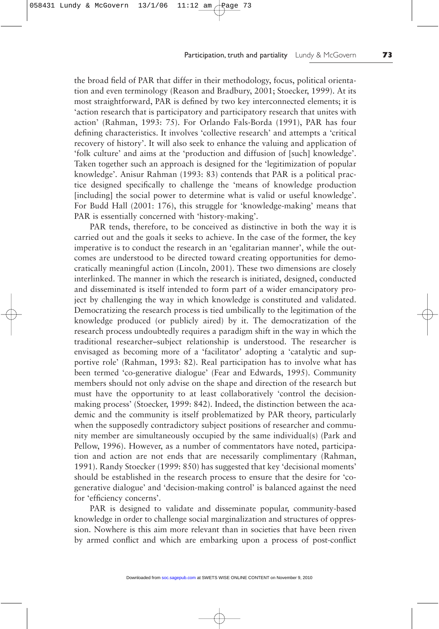the broad field of PAR that differ in their methodology, focus, political orientation and even terminology (Reason and Bradbury, 2001; Stoecker, 1999). At its most straightforward, PAR is defined by two key interconnected elements; it is 'action research that is participatory and participatory research that unites with action' (Rahman, 1993: 75). For Orlando Fals-Borda (1991), PAR has four defining characteristics. It involves 'collective research' and attempts a 'critical recovery of history'. It will also seek to enhance the valuing and application of 'folk culture' and aims at the 'production and diffusion of [such] knowledge'. Taken together such an approach is designed for the 'legitimization of popular knowledge'. Anisur Rahman (1993: 83) contends that PAR is a political practice designed specifically to challenge the 'means of knowledge production [including] the social power to determine what is valid or useful knowledge'. For Budd Hall (2001: 176), this struggle for 'knowledge-making' means that PAR is essentially concerned with 'history-making'.

PAR tends, therefore, to be conceived as distinctive in both the way it is carried out and the goals it seeks to achieve. In the case of the former, the key imperative is to conduct the research in an 'egalitarian manner', while the outcomes are understood to be directed toward creating opportunities for democratically meaningful action (Lincoln, 2001). These two dimensions are closely interlinked. The manner in which the research is initiated, designed, conducted and disseminated is itself intended to form part of a wider emancipatory project by challenging the way in which knowledge is constituted and validated. Democratizing the research process is tied umbilically to the legitimation of the knowledge produced (or publicly aired) by it. The democratization of the research process undoubtedly requires a paradigm shift in the way in which the traditional researcher–subject relationship is understood. The researcher is envisaged as becoming more of a 'facilitator' adopting a 'catalytic and supportive role' (Rahman, 1993: 82). Real participation has to involve what has been termed 'co-generative dialogue' (Fear and Edwards, 1995). Community members should not only advise on the shape and direction of the research but must have the opportunity to at least collaboratively 'control the decisionmaking process' (Stoecker, 1999: 842). Indeed, the distinction between the academic and the community is itself problematized by PAR theory, particularly when the supposedly contradictory subject positions of researcher and community member are simultaneously occupied by the same individual(s) (Park and Pellow, 1996). However, as a number of commentators have noted, participation and action are not ends that are necessarily complimentary (Rahman, 1991). Randy Stoecker (1999: 850) has suggested that key 'decisional moments' should be established in the research process to ensure that the desire for 'cogenerative dialogue' and 'decision-making control' is balanced against the need for 'efficiency concerns'.

PAR is designed to validate and disseminate popular, community-based knowledge in order to challenge social marginalization and structures of oppression. Nowhere is this aim more relevant than in societies that have been riven by armed conflict and which are embarking upon a process of post-conflict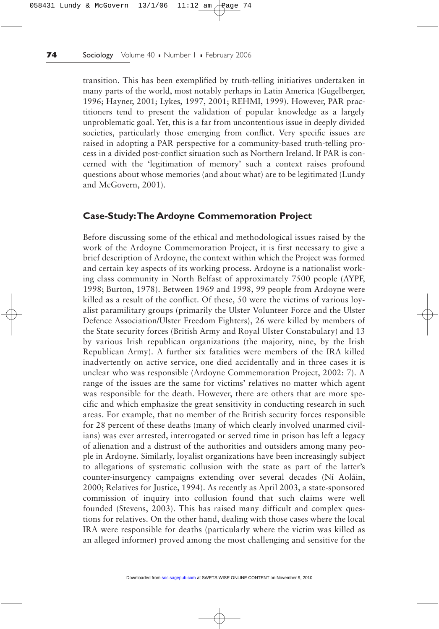transition. This has been exemplified by truth-telling initiatives undertaken in many parts of the world, most notably perhaps in Latin America (Gugelberger, 1996; Hayner, 2001; Lykes, 1997, 2001; REHMI, 1999). However, PAR practitioners tend to present the validation of popular knowledge as a largely unproblematic goal. Yet, this is a far from uncontentious issue in deeply divided societies, particularly those emerging from conflict. Very specific issues are raised in adopting a PAR perspective for a community-based truth-telling process in a divided post-conflict situation such as Northern Ireland. If PAR is concerned with the 'legitimation of memory' such a context raises profound questions about whose memories (and about what) are to be legitimated (Lundy and McGovern, 2001).

#### **Case-Study:The Ardoyne Commemoration Project**

Before discussing some of the ethical and methodological issues raised by the work of the Ardoyne Commemoration Project, it is first necessary to give a brief description of Ardoyne, the context within which the Project was formed and certain key aspects of its working process. Ardoyne is a nationalist working class community in North Belfast of approximately 7500 people (AYPF, 1998; Burton, 1978). Between 1969 and 1998, 99 people from Ardoyne were killed as a result of the conflict. Of these, 50 were the victims of various loyalist paramilitary groups (primarily the Ulster Volunteer Force and the Ulster Defence Association/Ulster Freedom Fighters), 26 were killed by members of the State security forces (British Army and Royal Ulster Constabulary) and 13 by various Irish republican organizations (the majority, nine, by the Irish Republican Army). A further six fatalities were members of the IRA killed inadvertently on active service, one died accidentally and in three cases it is unclear who was responsible (Ardoyne Commemoration Project, 2002: 7). A range of the issues are the same for victims' relatives no matter which agent was responsible for the death. However, there are others that are more specific and which emphasize the great sensitivity in conducting research in such areas. For example, that no member of the British security forces responsible for 28 percent of these deaths (many of which clearly involved unarmed civilians) was ever arrested, interrogated or served time in prison has left a legacy of alienation and a distrust of the authorities and outsiders among many people in Ardoyne. Similarly, loyalist organizations have been increasingly subject to allegations of systematic collusion with the state as part of the latter's counter-insurgency campaigns extending over several decades (Ní Aoláin, 2000; Relatives for Justice, 1994). As recently as April 2003, a state-sponsored commission of inquiry into collusion found that such claims were well founded (Stevens, 2003). This has raised many difficult and complex questions for relatives. On the other hand, dealing with those cases where the local IRA were responsible for deaths (particularly where the victim was killed as an alleged informer) proved among the most challenging and sensitive for the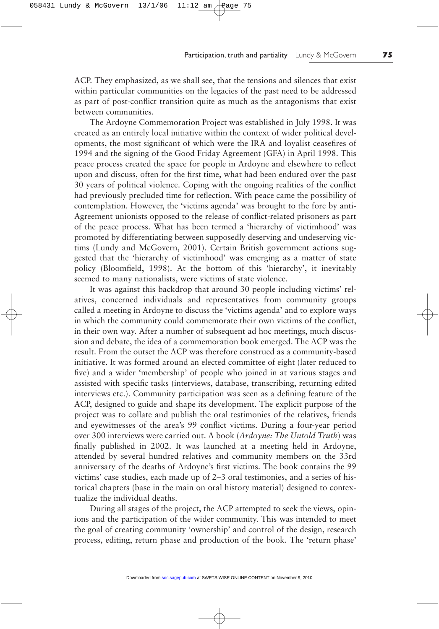ACP. They emphasized, as we shall see, that the tensions and silences that exist within particular communities on the legacies of the past need to be addressed as part of post-conflict transition quite as much as the antagonisms that exist between communities.

The Ardoyne Commemoration Project was established in July 1998. It was created as an entirely local initiative within the context of wider political developments, the most significant of which were the IRA and loyalist ceasefires of 1994 and the signing of the Good Friday Agreement (GFA) in April 1998. This peace process created the space for people in Ardoyne and elsewhere to reflect upon and discuss, often for the first time, what had been endured over the past 30 years of political violence. Coping with the ongoing realities of the conflict had previously precluded time for reflection. With peace came the possibility of contemplation. However, the 'victims agenda' was brought to the fore by anti-Agreement unionists opposed to the release of conflict-related prisoners as part of the peace process. What has been termed a 'hierarchy of victimhood' was promoted by differentiating between supposedly deserving and undeserving victims (Lundy and McGovern, 2001). Certain British government actions suggested that the 'hierarchy of victimhood' was emerging as a matter of state policy (Bloomfield, 1998). At the bottom of this 'hierarchy', it inevitably seemed to many nationalists, were victims of state violence.

It was against this backdrop that around 30 people including victims' relatives, concerned individuals and representatives from community groups called a meeting in Ardoyne to discuss the 'victims agenda' and to explore ways in which the community could commemorate their own victims of the conflict, in their own way. After a number of subsequent ad hoc meetings, much discussion and debate, the idea of a commemoration book emerged. The ACP was the result. From the outset the ACP was therefore construed as a community-based initiative. It was formed around an elected committee of eight (later reduced to five) and a wider 'membership' of people who joined in at various stages and assisted with specific tasks (interviews, database, transcribing, returning edited interviews etc.). Community participation was seen as a defining feature of the ACP, designed to guide and shape its development. The explicit purpose of the project was to collate and publish the oral testimonies of the relatives, friends and eyewitnesses of the area's 99 conflict victims. During a four-year period over 300 interviews were carried out. A book (*Ardoyne: The Untold Truth*) was finally published in 2002. It was launched at a meeting held in Ardoyne, attended by several hundred relatives and community members on the 33rd anniversary of the deaths of Ardoyne's first victims. The book contains the 99 victims' case studies, each made up of 2–3 oral testimonies, and a series of historical chapters (base in the main on oral history material) designed to contextualize the individual deaths.

During all stages of the project, the ACP attempted to seek the views, opinions and the participation of the wider community. This was intended to meet the goal of creating community 'ownership' and control of the design, research process, editing, return phase and production of the book. The 'return phase'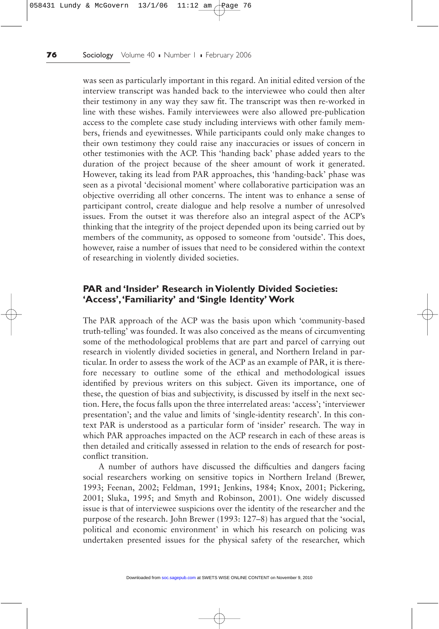was seen as particularly important in this regard. An initial edited version of the interview transcript was handed back to the interviewee who could then alter their testimony in any way they saw fit. The transcript was then re-worked in line with these wishes. Family interviewees were also allowed pre-publication access to the complete case study including interviews with other family members, friends and eyewitnesses. While participants could only make changes to their own testimony they could raise any inaccuracies or issues of concern in other testimonies with the ACP. This 'handing back' phase added years to the duration of the project because of the sheer amount of work it generated. However, taking its lead from PAR approaches, this 'handing-back' phase was seen as a pivotal 'decisional moment' where collaborative participation was an objective overriding all other concerns. The intent was to enhance a sense of participant control, create dialogue and help resolve a number of unresolved issues. From the outset it was therefore also an integral aspect of the ACP's thinking that the integrity of the project depended upon its being carried out by members of the community, as opposed to someone from 'outside'. This does, however, raise a number of issues that need to be considered within the context of researching in violently divided societies.

# **PAR and 'Insider' Research in Violently Divided Societies: 'Access','Familiarity' and 'Single Identity' Work**

The PAR approach of the ACP was the basis upon which 'community-based truth-telling' was founded. It was also conceived as the means of circumventing some of the methodological problems that are part and parcel of carrying out research in violently divided societies in general, and Northern Ireland in particular. In order to assess the work of the ACP as an example of PAR, it is therefore necessary to outline some of the ethical and methodological issues identified by previous writers on this subject. Given its importance, one of these, the question of bias and subjectivity, is discussed by itself in the next section. Here, the focus falls upon the three interrelated areas: 'access'; 'interviewer presentation'; and the value and limits of 'single-identity research'. In this context PAR is understood as a particular form of 'insider' research. The way in which PAR approaches impacted on the ACP research in each of these areas is then detailed and critically assessed in relation to the ends of research for postconflict transition.

A number of authors have discussed the difficulties and dangers facing social researchers working on sensitive topics in Northern Ireland (Brewer, 1993; Feenan, 2002; Feldman, 1991; Jenkins, 1984; Knox, 2001; Pickering, 2001; Sluka, 1995; and Smyth and Robinson, 2001). One widely discussed issue is that of interviewee suspicions over the identity of the researcher and the purpose of the research. John Brewer (1993: 127–8) has argued that the 'social, political and economic environment' in which his research on policing was undertaken presented issues for the physical safety of the researcher, which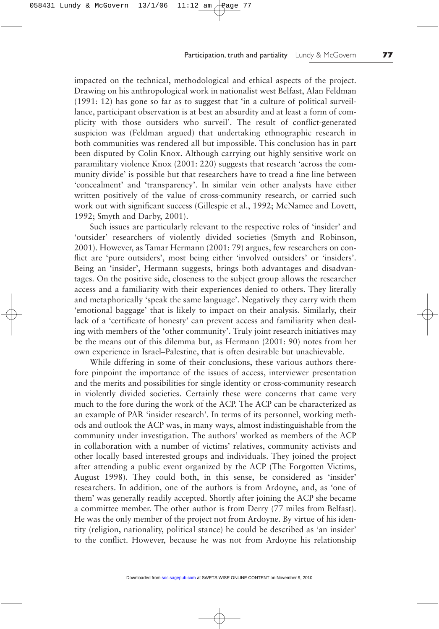impacted on the technical, methodological and ethical aspects of the project. Drawing on his anthropological work in nationalist west Belfast, Alan Feldman (1991: 12) has gone so far as to suggest that 'in a culture of political surveillance, participant observation is at best an absurdity and at least a form of complicity with those outsiders who surveil'. The result of conflict-generated suspicion was (Feldman argued) that undertaking ethnographic research in both communities was rendered all but impossible. This conclusion has in part been disputed by Colin Knox. Although carrying out highly sensitive work on paramilitary violence Knox (2001: 220) suggests that research 'across the community divide' is possible but that researchers have to tread a fine line between 'concealment' and 'transparency'. In similar vein other analysts have either written positively of the value of cross-community research, or carried such work out with significant success (Gillespie et al., 1992; McNamee and Lovett, 1992; Smyth and Darby, 2001).

Such issues are particularly relevant to the respective roles of 'insider' and 'outsider' researchers of violently divided societies (Smyth and Robinson, 2001). However, as Tamar Hermann (2001: 79) argues, few researchers on conflict are 'pure outsiders', most being either 'involved outsiders' or 'insiders'. Being an 'insider', Hermann suggests, brings both advantages and disadvantages. On the positive side, closeness to the subject group allows the researcher access and a familiarity with their experiences denied to others. They literally and metaphorically 'speak the same language'. Negatively they carry with them 'emotional baggage' that is likely to impact on their analysis. Similarly, their lack of a 'certificate of honesty' can prevent access and familiarity when dealing with members of the 'other community'. Truly joint research initiatives may be the means out of this dilemma but, as Hermann (2001: 90) notes from her own experience in Israel–Palestine, that is often desirable but unachievable.

While differing in some of their conclusions, these various authors therefore pinpoint the importance of the issues of access, interviewer presentation and the merits and possibilities for single identity or cross-community research in violently divided societies. Certainly these were concerns that came very much to the fore during the work of the ACP. The ACP can be characterized as an example of PAR 'insider research'. In terms of its personnel, working methods and outlook the ACP was, in many ways, almost indistinguishable from the community under investigation. The authors' worked as members of the ACP in collaboration with a number of victims' relatives, community activists and other locally based interested groups and individuals. They joined the project after attending a public event organized by the ACP (The Forgotten Victims, August 1998). They could both, in this sense, be considered as 'insider' researchers. In addition, one of the authors is from Ardoyne, and, as 'one of them' was generally readily accepted. Shortly after joining the ACP she became a committee member. The other author is from Derry (77 miles from Belfast). He was the only member of the project not from Ardoyne. By virtue of his identity (religion, nationality, political stance) he could be described as 'an insider' to the conflict. However, because he was not from Ardoyne his relationship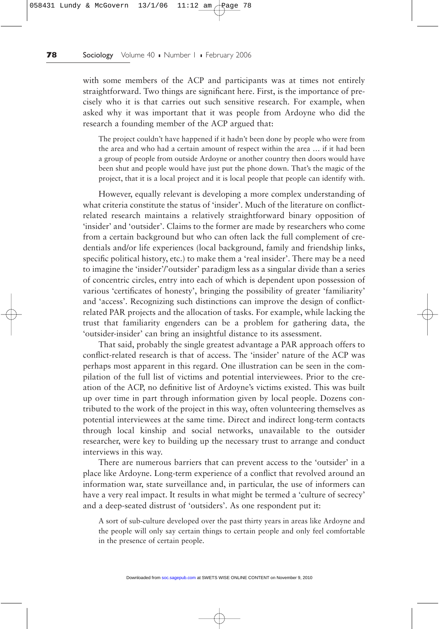with some members of the ACP and participants was at times not entirely straightforward. Two things are significant here. First, is the importance of precisely who it is that carries out such sensitive research. For example, when asked why it was important that it was people from Ardoyne who did the research a founding member of the ACP argued that:

The project couldn't have happened if it hadn't been done by people who were from the area and who had a certain amount of respect within the area … if it had been a group of people from outside Ardoyne or another country then doors would have been shut and people would have just put the phone down. That's the magic of the project, that it is a local project and it is local people that people can identify with.

However, equally relevant is developing a more complex understanding of what criteria constitute the status of 'insider'. Much of the literature on conflictrelated research maintains a relatively straightforward binary opposition of 'insider' and 'outsider'. Claims to the former are made by researchers who come from a certain background but who can often lack the full complement of credentials and/or life experiences (local background, family and friendship links, specific political history, etc.) to make them a 'real insider'. There may be a need to imagine the 'insider'/'outsider' paradigm less as a singular divide than a series of concentric circles, entry into each of which is dependent upon possession of various 'certificates of honesty', bringing the possibility of greater 'familiarity' and 'access'. Recognizing such distinctions can improve the design of conflictrelated PAR projects and the allocation of tasks. For example, while lacking the trust that familiarity engenders can be a problem for gathering data, the 'outsider-insider' can bring an insightful distance to its assessment.

That said, probably the single greatest advantage a PAR approach offers to conflict-related research is that of access. The 'insider' nature of the ACP was perhaps most apparent in this regard. One illustration can be seen in the compilation of the full list of victims and potential interviewees. Prior to the creation of the ACP, no definitive list of Ardoyne's victims existed. This was built up over time in part through information given by local people. Dozens contributed to the work of the project in this way, often volunteering themselves as potential interviewees at the same time. Direct and indirect long-term contacts through local kinship and social networks, unavailable to the outsider researcher, were key to building up the necessary trust to arrange and conduct interviews in this way.

There are numerous barriers that can prevent access to the 'outsider' in a place like Ardoyne. Long-term experience of a conflict that revolved around an information war, state surveillance and, in particular, the use of informers can have a very real impact. It results in what might be termed a 'culture of secrecy' and a deep-seated distrust of 'outsiders'. As one respondent put it:

A sort of sub-culture developed over the past thirty years in areas like Ardoyne and the people will only say certain things to certain people and only feel comfortable in the presence of certain people.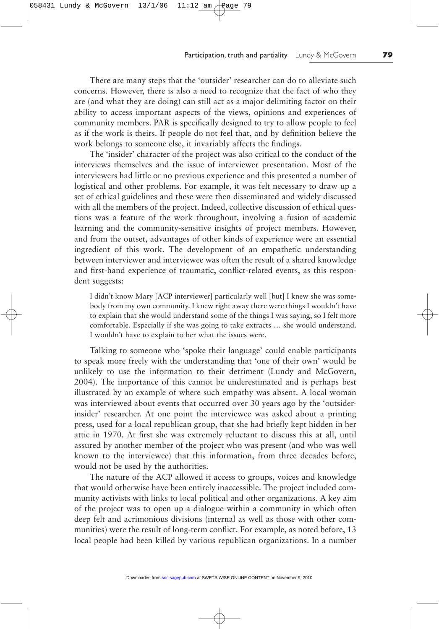There are many steps that the 'outsider' researcher can do to alleviate such concerns. However, there is also a need to recognize that the fact of who they are (and what they are doing) can still act as a major delimiting factor on their ability to access important aspects of the views, opinions and experiences of community members. PAR is specifically designed to try to allow people to feel as if the work is theirs. If people do not feel that, and by definition believe the work belongs to someone else, it invariably affects the findings.

The 'insider' character of the project was also critical to the conduct of the interviews themselves and the issue of interviewer presentation. Most of the interviewers had little or no previous experience and this presented a number of logistical and other problems. For example, it was felt necessary to draw up a set of ethical guidelines and these were then disseminated and widely discussed with all the members of the project. Indeed, collective discussion of ethical questions was a feature of the work throughout, involving a fusion of academic learning and the community-sensitive insights of project members. However, and from the outset, advantages of other kinds of experience were an essential ingredient of this work. The development of an empathetic understanding between interviewer and interviewee was often the result of a shared knowledge and first-hand experience of traumatic, conflict-related events, as this respondent suggests:

I didn't know Mary [ACP interviewer] particularly well [but] I knew she was somebody from my own community. I knew right away there were things I wouldn't have to explain that she would understand some of the things I was saying, so I felt more comfortable. Especially if she was going to take extracts … she would understand. I wouldn't have to explain to her what the issues were.

Talking to someone who 'spoke their language' could enable participants to speak more freely with the understanding that 'one of their own' would be unlikely to use the information to their detriment (Lundy and McGovern, 2004). The importance of this cannot be underestimated and is perhaps best illustrated by an example of where such empathy was absent. A local woman was interviewed about events that occurred over 30 years ago by the 'outsiderinsider' researcher. At one point the interviewee was asked about a printing press, used for a local republican group, that she had briefly kept hidden in her attic in 1970. At first she was extremely reluctant to discuss this at all, until assured by another member of the project who was present (and who was well known to the interviewee) that this information, from three decades before, would not be used by the authorities.

The nature of the ACP allowed it access to groups, voices and knowledge that would otherwise have been entirely inaccessible. The project included community activists with links to local political and other organizations. A key aim of the project was to open up a dialogue within a community in which often deep felt and acrimonious divisions (internal as well as those with other communities) were the result of long-term conflict. For example, as noted before, 13 local people had been killed by various republican organizations. In a number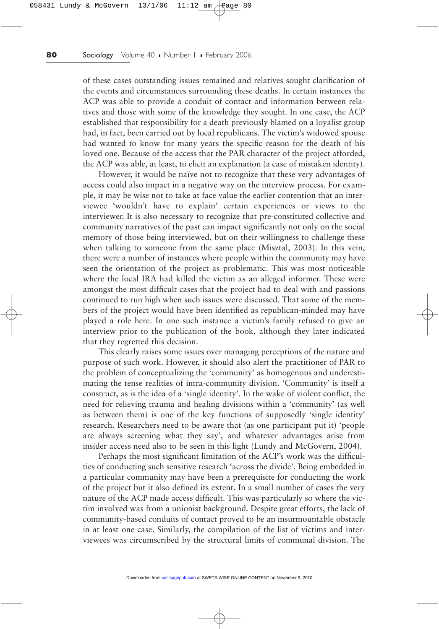of these cases outstanding issues remained and relatives sought clarification of the events and circumstances surrounding these deaths. In certain instances the ACP was able to provide a conduit of contact and information between relatives and those with some of the knowledge they sought. In one case, the ACP established that responsibility for a death previously blamed on a loyalist group had, in fact, been carried out by local republicans. The victim's widowed spouse had wanted to know for many years the specific reason for the death of his loved one. Because of the access that the PAR character of the project afforded, the ACP was able, at least, to elicit an explanation (a case of mistaken identity).

However, it would be naïve not to recognize that these very advantages of access could also impact in a negative way on the interview process. For example, it may be wise not to take at face value the earlier contention that an interviewee 'wouldn't have to explain' certain experiences or views to the interviewer. It is also necessary to recognize that pre-constituted collective and community narratives of the past can impact significantly not only on the social memory of those being interviewed, but on their willingness to challenge these when talking to someone from the same place (Misztal, 2003). In this vein, there were a number of instances where people within the community may have seen the orientation of the project as problematic. This was most noticeable where the local IRA had killed the victim as an alleged informer. These were amongst the most difficult cases that the project had to deal with and passions continued to run high when such issues were discussed. That some of the members of the project would have been identified as republican-minded may have played a role here. In one such instance a victim's family refused to give an interview prior to the publication of the book, although they later indicated that they regretted this decision.

This clearly raises some issues over managing perceptions of the nature and purpose of such work. However, it should also alert the practitioner of PAR to the problem of conceptualizing the 'community' as homogenous and underestimating the tense realities of intra-community division. 'Community' is itself a construct, as is the idea of a 'single identity'. In the wake of violent conflict, the need for relieving trauma and healing divisions within a 'community' (as well as between them) is one of the key functions of supposedly 'single identity' research. Researchers need to be aware that (as one participant put it) 'people are always screening what they say', and whatever advantages arise from insider access need also to be seen in this light (Lundy and McGovern, 2004).

Perhaps the most significant limitation of the ACP's work was the difficulties of conducting such sensitive research 'across the divide'. Being embedded in a particular community may have been a prerequisite for conducting the work of the project but it also defined its extent. In a small number of cases the very nature of the ACP made access difficult. This was particularly so where the victim involved was from a unionist background. Despite great efforts, the lack of community-based conduits of contact proved to be an insurmountable obstacle in at least one case. Similarly, the compilation of the list of victims and interviewees was circumscribed by the structural limits of communal division. The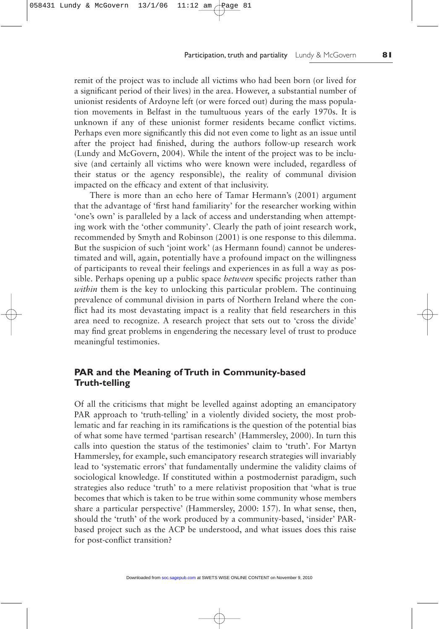remit of the project was to include all victims who had been born (or lived for a significant period of their lives) in the area. However, a substantial number of unionist residents of Ardoyne left (or were forced out) during the mass population movements in Belfast in the tumultuous years of the early 1970s. It is unknown if any of these unionist former residents became conflict victims. Perhaps even more significantly this did not even come to light as an issue until after the project had finished, during the authors follow-up research work (Lundy and McGovern, 2004). While the intent of the project was to be inclusive (and certainly all victims who were known were included, regardless of their status or the agency responsible), the reality of communal division impacted on the efficacy and extent of that inclusivity.

There is more than an echo here of Tamar Hermann's (2001) argument that the advantage of 'first hand familiarity' for the researcher working within 'one's own' is paralleled by a lack of access and understanding when attempting work with the 'other community'. Clearly the path of joint research work, recommended by Smyth and Robinson (2001) is one response to this dilemma. But the suspicion of such 'joint work' (as Hermann found) cannot be underestimated and will, again, potentially have a profound impact on the willingness of participants to reveal their feelings and experiences in as full a way as possible. Perhaps opening up a public space *between* specific projects rather than *within* them is the key to unlocking this particular problem. The continuing prevalence of communal division in parts of Northern Ireland where the conflict had its most devastating impact is a reality that field researchers in this area need to recognize. A research project that sets out to 'cross the divide' may find great problems in engendering the necessary level of trust to produce meaningful testimonies.

# **PAR and the Meaning of Truth in Community-based Truth-telling**

Of all the criticisms that might be levelled against adopting an emancipatory PAR approach to 'truth-telling' in a violently divided society, the most problematic and far reaching in its ramifications is the question of the potential bias of what some have termed 'partisan research' (Hammersley, 2000). In turn this calls into question the status of the testimonies' claim to 'truth'. For Martyn Hammersley, for example, such emancipatory research strategies will invariably lead to 'systematic errors' that fundamentally undermine the validity claims of sociological knowledge. If constituted within a postmodernist paradigm, such strategies also reduce 'truth' to a mere relativist proposition that 'what is true becomes that which is taken to be true within some community whose members share a particular perspective' (Hammersley, 2000: 157). In what sense, then, should the 'truth' of the work produced by a community-based, 'insider' PARbased project such as the ACP be understood, and what issues does this raise for post-conflict transition?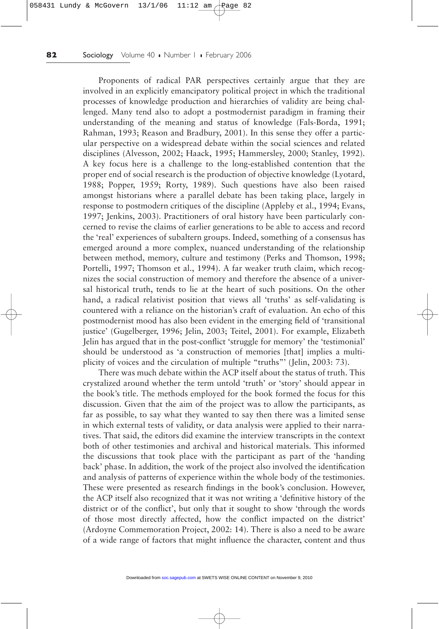Proponents of radical PAR perspectives certainly argue that they are involved in an explicitly emancipatory political project in which the traditional processes of knowledge production and hierarchies of validity are being challenged. Many tend also to adopt a postmodernist paradigm in framing their understanding of the meaning and status of knowledge (Fals-Borda, 1991; Rahman, 1993; Reason and Bradbury, 2001). In this sense they offer a particular perspective on a widespread debate within the social sciences and related disciplines (Alvesson, 2002; Haack, 1995; Hammersley, 2000; Stanley, 1992). A key focus here is a challenge to the long-established contention that the proper end of social research is the production of objective knowledge (Lyotard, 1988; Popper, 1959; Rorty, 1989). Such questions have also been raised amongst historians where a parallel debate has been taking place, largely in response to postmodern critiques of the discipline (Appleby et al., 1994; Evans, 1997; Jenkins, 2003). Practitioners of oral history have been particularly concerned to revise the claims of earlier generations to be able to access and record the 'real' experiences of subaltern groups. Indeed, something of a consensus has emerged around a more complex, nuanced understanding of the relationship between method, memory, culture and testimony (Perks and Thomson, 1998; Portelli, 1997; Thomson et al., 1994). A far weaker truth claim, which recognizes the social construction of memory and therefore the absence of a universal historical truth, tends to lie at the heart of such positions. On the other hand, a radical relativist position that views all 'truths' as self-validating is countered with a reliance on the historian's craft of evaluation. An echo of this postmodernist mood has also been evident in the emerging field of 'transitional justice' (Gugelberger, 1996; Jelin, 2003; Teitel, 2001). For example, Elizabeth Jelin has argued that in the post-conflict 'struggle for memory' the 'testimonial' should be understood as 'a construction of memories [that] implies a multiplicity of voices and the circulation of multiple "truths"' (Jelin, 2003: 73).

There was much debate within the ACP itself about the status of truth. This crystalized around whether the term untold 'truth' or 'story' should appear in the book's title. The methods employed for the book formed the focus for this discussion. Given that the aim of the project was to allow the participants, as far as possible, to say what they wanted to say then there was a limited sense in which external tests of validity, or data analysis were applied to their narratives. That said, the editors did examine the interview transcripts in the context both of other testimonies and archival and historical materials. This informed the discussions that took place with the participant as part of the 'handing back' phase. In addition, the work of the project also involved the identification and analysis of patterns of experience within the whole body of the testimonies. These were presented as research findings in the book's conclusion. However, the ACP itself also recognized that it was not writing a 'definitive history of the district or of the conflict', but only that it sought to show 'through the words of those most directly affected, how the conflict impacted on the district' (Ardoyne Commemoration Project, 2002: 14). There is also a need to be aware of a wide range of factors that might influence the character, content and thus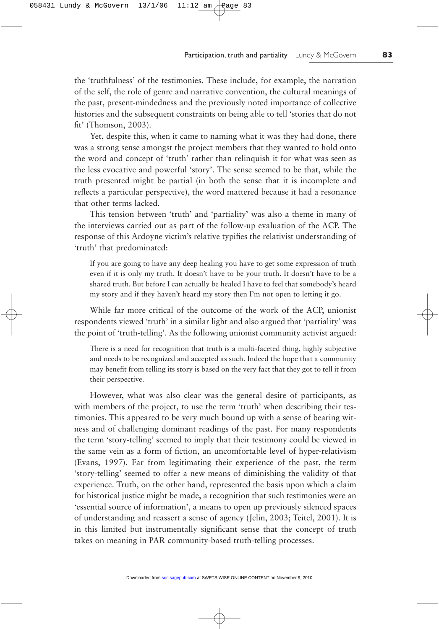the 'truthfulness' of the testimonies. These include, for example, the narration of the self, the role of genre and narrative convention, the cultural meanings of the past, present-mindedness and the previously noted importance of collective histories and the subsequent constraints on being able to tell 'stories that do not fit' (Thomson, 2003).

Yet, despite this, when it came to naming what it was they had done, there was a strong sense amongst the project members that they wanted to hold onto the word and concept of 'truth' rather than relinquish it for what was seen as the less evocative and powerful 'story'. The sense seemed to be that, while the truth presented might be partial (in both the sense that it is incomplete and reflects a particular perspective), the word mattered because it had a resonance that other terms lacked.

This tension between 'truth' and 'partiality' was also a theme in many of the interviews carried out as part of the follow-up evaluation of the ACP. The response of this Ardoyne victim's relative typifies the relativist understanding of 'truth' that predominated:

If you are going to have any deep healing you have to get some expression of truth even if it is only my truth. It doesn't have to be your truth. It doesn't have to be a shared truth. But before I can actually be healed I have to feel that somebody's heard my story and if they haven't heard my story then I'm not open to letting it go.

While far more critical of the outcome of the work of the ACP, unionist respondents viewed 'truth' in a similar light and also argued that 'partiality' was the point of 'truth-telling'. As the following unionist community activist argued:

There is a need for recognition that truth is a multi-faceted thing, highly subjective and needs to be recognized and accepted as such. Indeed the hope that a community may benefit from telling its story is based on the very fact that they got to tell it from their perspective.

However, what was also clear was the general desire of participants, as with members of the project, to use the term 'truth' when describing their testimonies. This appeared to be very much bound up with a sense of bearing witness and of challenging dominant readings of the past. For many respondents the term 'story-telling' seemed to imply that their testimony could be viewed in the same vein as a form of fiction, an uncomfortable level of hyper-relativism (Evans, 1997). Far from legitimating their experience of the past, the term 'story-telling' seemed to offer a new means of diminishing the validity of that experience. Truth, on the other hand, represented the basis upon which a claim for historical justice might be made, a recognition that such testimonies were an 'essential source of information', a means to open up previously silenced spaces of understanding and reassert a sense of agency (Jelin, 2003; Teitel, 2001). It is in this limited but instrumentally significant sense that the concept of truth takes on meaning in PAR community-based truth-telling processes.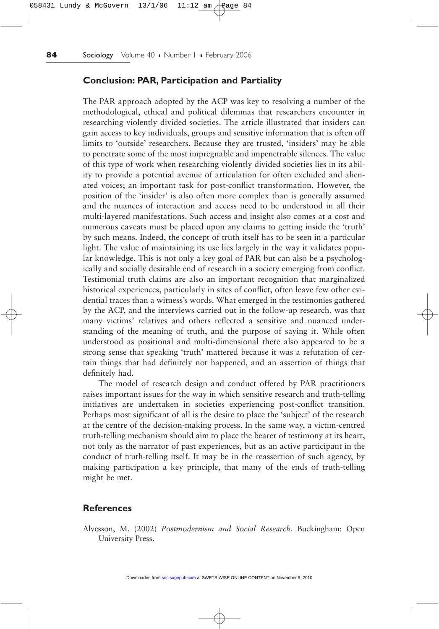#### **Conclusion: PAR, Participation and Partiality**

The PAR approach adopted by the ACP was key to resolving a number of the methodological, ethical and political dilemmas that researchers encounter in researching violently divided societies. The article illustrated that insiders can gain access to key individuals, groups and sensitive information that is often off limits to 'outside' researchers. Because they are trusted, 'insiders' may be able to penetrate some of the most impregnable and impenetrable silences. The value of this type of work when researching violently divided societies lies in its ability to provide a potential avenue of articulation for often excluded and alienated voices; an important task for post-conflict transformation. However, the position of the 'insider' is also often more complex than is generally assumed and the nuances of interaction and access need to be understood in all their multi-layered manifestations. Such access and insight also comes at a cost and numerous caveats must be placed upon any claims to getting inside the 'truth' by such means. Indeed, the concept of truth itself has to be seen in a particular light. The value of maintaining its use lies largely in the way it validates popular knowledge. This is not only a key goal of PAR but can also be a psychologically and socially desirable end of research in a society emerging from conflict. Testimonial truth claims are also an important recognition that marginalized historical experiences, particularly in sites of conflict, often leave few other evidential traces than a witness's words. What emerged in the testimonies gathered by the ACP, and the interviews carried out in the follow-up research, was that many victims' relatives and others reflected a sensitive and nuanced understanding of the meaning of truth, and the purpose of saying it. While often understood as positional and multi-dimensional there also appeared to be a strong sense that speaking 'truth' mattered because it was a refutation of certain things that had definitely not happened, and an assertion of things that definitely had.

The model of research design and conduct offered by PAR practitioners raises important issues for the way in which sensitive research and truth-telling initiatives are undertaken in societies experiencing post-conflict transition. Perhaps most significant of all is the desire to place the 'subject' of the research at the centre of the decision-making process. In the same way, a victim-centred truth-telling mechanism should aim to place the bearer of testimony at its heart, not only as the narrator of past experiences, but as an active participant in the conduct of truth-telling itself. It may be in the reassertion of such agency, by making participation a key principle, that many of the ends of truth-telling might be met.

#### **References**

Alvesson, M. (2002) *Postmodernism and Social Research*. Buckingham: Open University Press.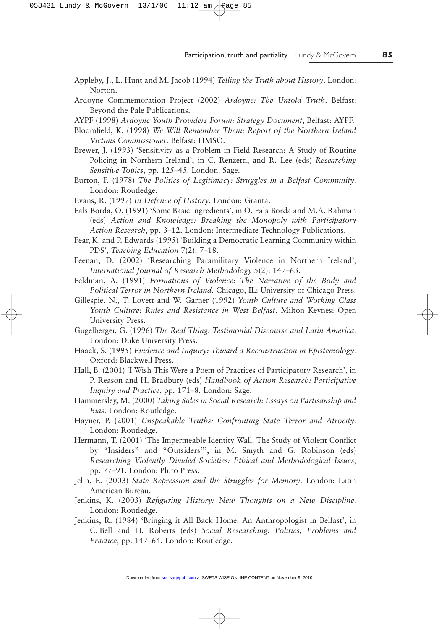- Appleby, J., L. Hunt and M. Jacob (1994) *Telling the Truth about History*. London: Norton.
- Ardoyne Commemoration Project (2002) *Ardoyne: The Untold Truth*. Belfast: Beyond the Pale Publications.
- AYPF (1998) *Ardoyne Youth Providers Forum: Strategy Document*, Belfast: AYPF.
- Bloomfield, K. (1998) *We Will Remember Them: Report of the Northern Ireland Victims Commissioner*. Belfast: HMSO.
- Brewer, J. (1993) 'Sensitivity as a Problem in Field Research: A Study of Routine Policing in Northern Ireland', in C. Renzetti, and R. Lee (eds) *Researching Sensitive Topics*, pp. 125–45. London: Sage.
- Burton, F. (1978) *The Politics of Legitimacy: Struggles in a Belfast Community*. London: Routledge.
- Evans, R. (1997) *In Defence of History*. London: Granta.
- Fals-Borda, O. (1991) 'Some Basic Ingredients', in O. Fals-Borda and M.A. Rahman (eds) *Action and Knowledge: Breaking the Monopoly with Participatory Action Research*, pp. 3–12. London: Intermediate Technology Publications.
- Fear, K. and P. Edwards (1995) 'Building a Democratic Learning Community within PDS', *Teaching Education* 7(2): 7–18.
- Feenan, D. (2002) 'Researching Paramilitary Violence in Northern Ireland', *International Journal of Research Methodology* 5(2): 147–63.
- Feldman, A. (1991) *Formations of Violence: The Narrative of the Body and Political Terror in Northern Ireland*. Chicago, IL: University of Chicago Press.
- Gillespie, N., T. Lovett and W. Garner (1992) *Youth Culture and Working Class Youth Culture: Rules and Resistance in West Belfast*. Milton Keynes: Open University Press.
- Gugelberger, G. (1996) *The Real Thing: Testimonial Discourse and Latin America*. London: Duke University Press.
- Haack, S. (1995) *Evidence and Inquiry: Toward a Reconstruction in Epistemology*. Oxford: Blackwell Press.
- Hall, B. (2001) 'I Wish This Were a Poem of Practices of Participatory Research', in P. Reason and H. Bradbury (eds) *Handbook of Action Research: Participative Inquiry and Practice*, pp. 171–8. London: Sage.
- Hammersley, M. (2000) *Taking Sides in Social Research: Essays on Partisanship and Bias*. London: Routledge.
- Hayner, P. (2001) *Unspeakable Truths: Confronting State Terror and Atrocity*. London: Routledge.
- Hermann, T. (2001) 'The Impermeable Identity Wall: The Study of Violent Conflict by "Insiders" and "Outsiders"', in M. Smyth and G. Robinson (eds) *Researching Violently Divided Societies: Ethical and Methodological Issues*, pp. 77–91. London: Pluto Press.
- Jelin, E. (2003) *State Repression and the Struggles for Memory*. London: Latin American Bureau.
- Jenkins, K. (2003) *Refiguring History: New Thoughts on a New Discipline*. London: Routledge.
- Jenkins, R. (1984) 'Bringing it All Back Home: An Anthropologist in Belfast', in C. Bell and H. Roberts (eds) *Social Researching: Politics, Problems and Practice*, pp. 147–64. London: Routledge.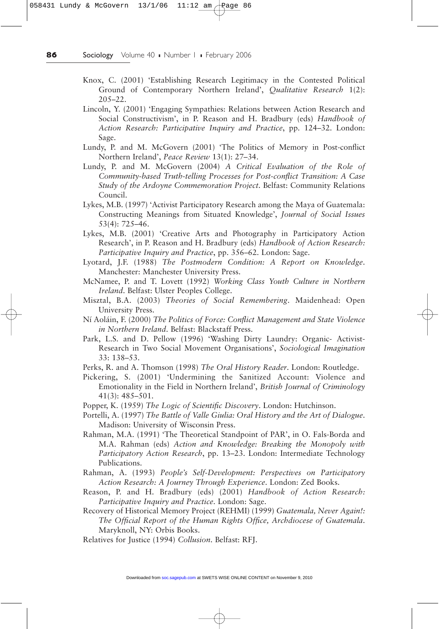- Knox, C. (2001) 'Establishing Research Legitimacy in the Contested Political Ground of Contemporary Northern Ireland', *Qualitative Research* 1(2): 205–22.
- Lincoln, Y. (2001) 'Engaging Sympathies: Relations between Action Research and Social Constructivism', in P. Reason and H. Bradbury (eds) *Handbook of Action Research: Participative Inquiry and Practice*, pp. 124–32. London: Sage.
- Lundy, P. and M. McGovern (2001) 'The Politics of Memory in Post-conflict Northern Ireland', *Peace Review* 13(1): 27–34.
- Lundy, P. and M. McGovern (2004) *A Critical Evaluation of the Role of Community-based Truth-telling Processes for Post-conflict Transition: A Case Study of the Ardoyne Commemoration Project*. Belfast: Community Relations Council.
- Lykes, M.B. (1997) 'Activist Participatory Research among the Maya of Guatemala: Constructing Meanings from Situated Knowledge', *Journal of Social Issues* 53(4): 725–46.
- Lykes, M.B. (2001) 'Creative Arts and Photography in Participatory Action Research', in P. Reason and H. Bradbury (eds) *Handbook of Action Research: Participative Inquiry and Practice*, pp. 356–62. London: Sage.
- Lyotard, J.F. (1988) *The Postmodern Condition: A Report on Knowledge*. Manchester: Manchester University Press.
- McNamee, P. and T. Lovett (1992) *Working Class Youth Culture in Northern Ireland*. Belfast: Ulster Peoples College.
- Misztal, B.A. (2003) *Theories of Social Remembering*. Maidenhead: Open University Press.
- Ní Aoláin, F. (2000) *The Politics of Force: Conflict Management and State Violence in Northern Ireland*. Belfast: Blackstaff Press.
- Park, L.S. and D. Pellow (1996) 'Washing Dirty Laundry: Organic- Activist-Research in Two Social Movement Organisations', *Sociological Imagination* 33: 138–53.
- Perks, R. and A. Thomson (1998) *The Oral History Reader*. London: Routledge.
- Pickering, S. (2001) 'Undermining the Sanitized Account: Violence and Emotionality in the Field in Northern Ireland', *British Journal of Criminology* 41(3): 485–501.
- Popper, K. (1959) *The Logic of Scientific Discovery*. London: Hutchinson.
- Portelli, A. (1997) *The Battle of Valle Giulia: Oral History and the Art of Dialogue*. Madison: University of Wisconsin Press.
- Rahman, M.A. (1991) 'The Theoretical Standpoint of PAR', in O. Fals-Borda and M.A. Rahman (eds) *Action and Knowledge: Breaking the Monopoly with Participatory Action Research*, pp. 13–23. London: Intermediate Technology Publications.
- Rahman, A. (1993) *People's Self-Development: Perspectives on Participatory Action Research: A Journey Through Experience*. London: Zed Books.
- Reason, P. and H. Bradbury (eds) (2001) *Handbook of Action Research: Participative Inquiry and Practice*. London: Sage.
- Recovery of Historical Memory Project (REHMI) (1999) *Guatemala, Never Again!: The Official Report of the Human Rights Office, Archdiocese of Guatemala*. Maryknoll, NY: Orbis Books.

Downloaded from [soc.sagepub.com](http://soc.sagepub.com/) at SWETS WISE ONLINE CONTENT on November 9, 2010

Relatives for Justice (1994) *Collusion*. Belfast: RFJ.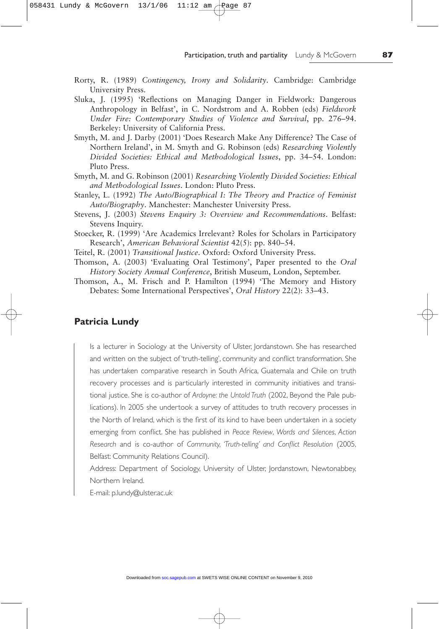- Rorty, R. (1989) *Contingency, Irony and Solidarity*. Cambridge: Cambridge University Press.
- Sluka, J. (1995) 'Reflections on Managing Danger in Fieldwork: Dangerous Anthropology in Belfast', in C. Nordstrom and A. Robben (eds) *Fieldwork Under Fire: Contemporary Studies of Violence and Survival*, pp. 276–94. Berkeley: University of California Press.
- Smyth, M. and J. Darby (2001) 'Does Research Make Any Difference? The Case of Northern Ireland', in M. Smyth and G. Robinson (eds) *Researching Violently Divided Societies: Ethical and Methodological Issues*, pp. 34–54. London: Pluto Press.
- Smyth, M. and G. Robinson (2001) *Researching Violently Divided Societies: Ethical and Methodological Issues*. London: Pluto Press.
- Stanley, L. (1992) *The Auto/Biographical I: The Theory and Practice of Feminist Auto/Biography*. Manchester: Manchester University Press.
- Stevens, J. (2003) *Stevens Enquiry 3: Overview and Recommendations*. Belfast: Stevens Inquiry.
- Stoecker, R. (1999) 'Are Academics Irrelevant? Roles for Scholars in Participatory Research', *American Behavioral Scientist* 42(5): pp. 840–54.
- Teitel, R. (2001) *Transitional Justice*. Oxford: Oxford University Press.
- Thomson, A. (2003) 'Evaluating Oral Testimony', Paper presented to the *Oral History Society Annual Conference*, British Museum, London, September.
- Thomson, A., M. Frisch and P. Hamilton (1994) 'The Memory and History Debates: Some International Perspectives', *Oral History* 22(2): 33–43.

#### **Patricia Lundy**

Is a lecturer in Sociology at the University of Ulster, Jordanstown. She has researched and written on the subject of 'truth-telling', community and conflict transformation. She has undertaken comparative research in South Africa, Guatemala and Chile on truth recovery processes and is particularly interested in community initiatives and transitional justice. She is co-author of *Ardoyne: the Untold Truth* (2002, Beyond the Pale publications). In 2005 she undertook a survey of attitudes to truth recovery processes in the North of Ireland, which is the first of its kind to have been undertaken in a society emerging from conflict. She has published in *Peace Review*, *Words and Silences*, *Action Research* and is co-author of *Community, 'Truth-telling' and Conflict Resolution* (2005, Belfast: Community Relations Council).

Address: Department of Sociology, University of Ulster, Jordanstown, Newtonabbey, Northern Ireland.

E-mail: p.lundy@ulster.ac.uk